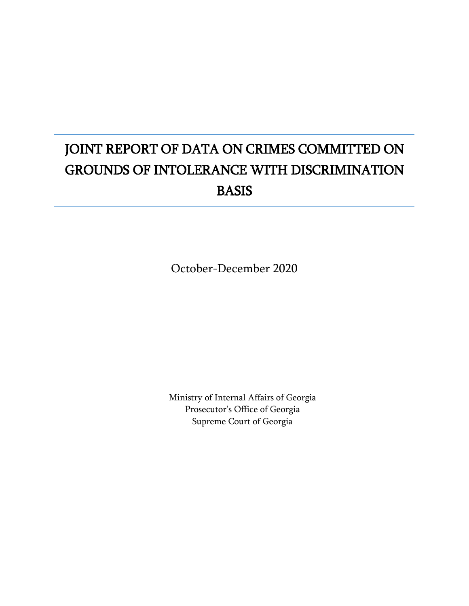# JOINT REPORT OF DATA ON CRIMES COMMITTED ON GROUNDS OF INTOLERANCE WITH DISCRIMINATION BASIS

October-December 2020

Ministry of Internal Affairs of Georgia Prosecutor's Office of Georgia Supreme Court of Georgia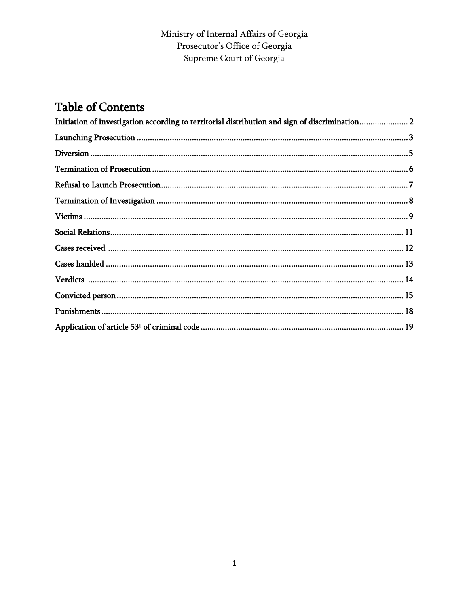#### Ministry of Internal Affairs of Georgia Prosecutor's Office of Georgia Supreme Court of Georgia

## **Table of Contents**

| Initiation of investigation according to territorial distribution and sign of discrimination 2 |  |
|------------------------------------------------------------------------------------------------|--|
|                                                                                                |  |
|                                                                                                |  |
|                                                                                                |  |
|                                                                                                |  |
|                                                                                                |  |
|                                                                                                |  |
|                                                                                                |  |
|                                                                                                |  |
|                                                                                                |  |
|                                                                                                |  |
|                                                                                                |  |
|                                                                                                |  |
|                                                                                                |  |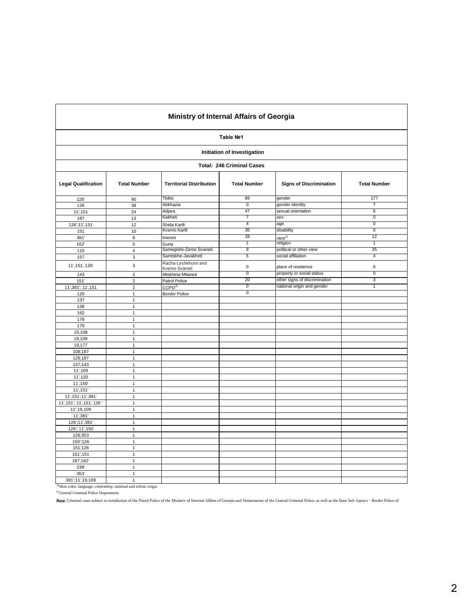|                             |                     | Ministry of Internal Affairs of Georgia |                                  |                                               |                     |  |  |  |  |  |  |  |
|-----------------------------|---------------------|-----------------------------------------|----------------------------------|-----------------------------------------------|---------------------|--|--|--|--|--|--|--|
|                             |                     |                                         | Table Nº1                        |                                               |                     |  |  |  |  |  |  |  |
| Initiation of Investigation |                     |                                         |                                  |                                               |                     |  |  |  |  |  |  |  |
|                             |                     |                                         | <b>Total: 246 Criminal Cases</b> |                                               |                     |  |  |  |  |  |  |  |
| <b>Legal Qualification</b>  | <b>Total Number</b> | <b>Territorial Distribution</b>         | <b>Total Number</b>              | <b>Signs of Discrimination</b>                | <b>Total Number</b> |  |  |  |  |  |  |  |
| 126                         | 90                  | Tbilisi                                 | 89                               | gender                                        | 177                 |  |  |  |  |  |  |  |
| 126                         | 38                  | Abkhazia                                | $\overline{0}$                   | gender identity                               | 7                   |  |  |  |  |  |  |  |
| 11', 151                    | 24                  | Adjara                                  | 47                               | sexual orientation                            | 6                   |  |  |  |  |  |  |  |
| 187                         | 13                  | Kakheti                                 | 7                                | sex                                           | $\overline{0}$      |  |  |  |  |  |  |  |
| 126';11',151                | 12                  | Shida Kartli                            | 4                                | age                                           | $\overline{0}$      |  |  |  |  |  |  |  |
| 151                         | 10                  | Kvemo Kartli                            | 36                               | disability                                    | $\overline{0}$      |  |  |  |  |  |  |  |
| 381                         | 8                   | Imereti                                 | 28                               | race $1)$                                     | 12                  |  |  |  |  |  |  |  |
| 162'                        | $\overline{5}$      | Guria                                   | 1                                | religion                                      | T                   |  |  |  |  |  |  |  |
| 115                         | $\overline{4}$      | Samegrelo-Zemo Svaneti                  | 9                                | political or other view<br>social affiliation | 35<br>4             |  |  |  |  |  |  |  |
| 157                         | 3                   | Samtskhe-Javakheti                      | 5                                |                                               |                     |  |  |  |  |  |  |  |
| 11', 151; 126'              | 3                   | Racha-Lechkhumi and<br>Kvemo Svaneti    | $\pmb{0}$                        | place of residence                            | $\mathsf 0$         |  |  |  |  |  |  |  |
| 143                         | $\sqrt{2}$          | Mtskheta-Mtianeti                       | $\overline{0}$                   | property or social status                     | $\overline{0}$      |  |  |  |  |  |  |  |
| 151'                        | $\sqrt{2}$          | Patrol Police                           | 20                               | other signs of discrimination                 | 3                   |  |  |  |  |  |  |  |
| 11', 381'; 11', 151         | $\overline{2}$      | CCPD <sup>2</sup>                       | $\overline{0}$                   | national origin and gender                    | 1                   |  |  |  |  |  |  |  |
| 120                         | $\mathbf{1}$        | <b>Border Police</b>                    | $\overline{0}$                   |                                               |                     |  |  |  |  |  |  |  |
| 137                         | $\mathbf{1}$        |                                         |                                  |                                               |                     |  |  |  |  |  |  |  |
| 138                         | $\overline{1}$      |                                         |                                  |                                               |                     |  |  |  |  |  |  |  |
| 162                         | $\mathbf{1}$        |                                         |                                  |                                               |                     |  |  |  |  |  |  |  |
| 178                         | $\mathbf{1}$        |                                         |                                  |                                               |                     |  |  |  |  |  |  |  |
| 179                         | $\mathbf{1}$        |                                         |                                  |                                               |                     |  |  |  |  |  |  |  |
| 19,108                      | $\mathbf{1}$        |                                         |                                  |                                               |                     |  |  |  |  |  |  |  |
| 19,109                      | $\mathbf{1}$        |                                         |                                  |                                               |                     |  |  |  |  |  |  |  |
| 19,177                      | $\mathbf{1}$        |                                         |                                  |                                               |                     |  |  |  |  |  |  |  |
| 108;187                     | $\mathbf{1}$        |                                         |                                  |                                               |                     |  |  |  |  |  |  |  |
| 126;187                     | $\mathbf{1}$        |                                         |                                  |                                               |                     |  |  |  |  |  |  |  |
| 137;143                     | $\mathbf{1}$        |                                         |                                  |                                               |                     |  |  |  |  |  |  |  |
| 11',109                     | $\mathbf{1}$        |                                         |                                  |                                               |                     |  |  |  |  |  |  |  |
| 11',120                     | $\mathbf{1}$        |                                         |                                  |                                               |                     |  |  |  |  |  |  |  |
| 11', 150'                   | $\mathbf{1}$        |                                         |                                  |                                               |                     |  |  |  |  |  |  |  |
| 11', 151'                   | $\mathbf{1}$        |                                         |                                  |                                               |                     |  |  |  |  |  |  |  |
| 11', 151'; 11', 381'        | $\mathbf{1}$        |                                         |                                  |                                               |                     |  |  |  |  |  |  |  |
| 11', 151'; 11', 151; 126'   | $\mathbf{1}$        |                                         |                                  |                                               |                     |  |  |  |  |  |  |  |
| 11', 19, 109                | $\mathbf{1}$        |                                         |                                  |                                               |                     |  |  |  |  |  |  |  |
| 11',381'                    | $\mathbf{1}$        |                                         |                                  |                                               |                     |  |  |  |  |  |  |  |
| 126';11',381'               | $\mathbf{1}$        |                                         |                                  |                                               |                     |  |  |  |  |  |  |  |
| 126'; 11', 150              | $\mathbf{1}$        |                                         |                                  |                                               |                     |  |  |  |  |  |  |  |
| 126;353                     | $\mathbf{1}$        |                                         |                                  |                                               |                     |  |  |  |  |  |  |  |
| 150';126                    | $\mathbf{1}$        |                                         |                                  |                                               |                     |  |  |  |  |  |  |  |
| 151;126                     | $\mathbf{1}$        |                                         |                                  |                                               |                     |  |  |  |  |  |  |  |
| 151,151                     | $\mathbf{1}$        |                                         |                                  |                                               |                     |  |  |  |  |  |  |  |
| 187;162'                    | $\mathbf{1}$        |                                         |                                  |                                               |                     |  |  |  |  |  |  |  |
| 239                         | $\mathbf{1}$        |                                         |                                  |                                               |                     |  |  |  |  |  |  |  |
| 353'                        | $\mathbf{1}$        |                                         |                                  |                                               |                     |  |  |  |  |  |  |  |
| 381':11',19,109             | $\mathbf{1}$        |                                         |                                  |                                               |                     |  |  |  |  |  |  |  |

381';11',19,109 1 1) Skin color, language, citizenship, national and ethnic origin

<sup>2)</sup> Central Criminal Police Department

Note: Criminal cases subiect to iurisdiction of the Patrol Police of the Ministry of Internal Affairs of Georgia and Departments of the Central Criminal Police, as well as the State Sub-Agency - Border Police of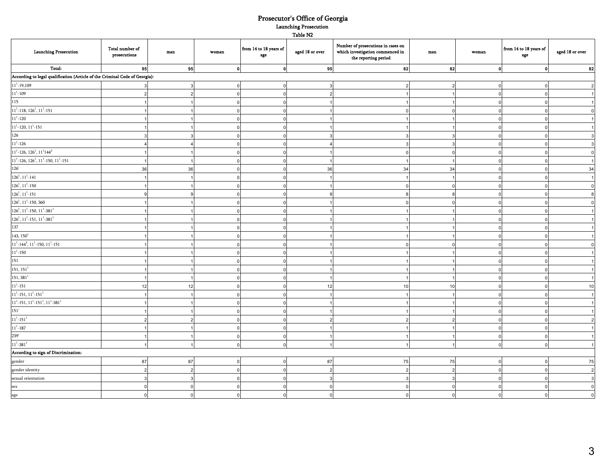#### Prosecutor's Office of Georgia Table N2 Launching Prosecution

| <b>Launching Prosecution</b>                                                | Total number of<br>prosecutions | $_{\rm man}$ | woman        | from 14 to 18 years of<br>age | aged 18 or over | Number of prosecutions in cases on<br>which investigation commenced in<br>the reporting period | $_{\rm man}$   | woman        | from 14 to 18 years of<br>age | aged 18 or over |
|-----------------------------------------------------------------------------|---------------------------------|--------------|--------------|-------------------------------|-----------------|------------------------------------------------------------------------------------------------|----------------|--------------|-------------------------------|-----------------|
| Total:                                                                      | 95                              | 95           | $\mathbf{0}$ |                               | 95              | 82                                                                                             | 82             | $\mathbf{0}$ | 0                             | 82              |
| According to legal qualification (Article of the Criminal Code of Georgia): |                                 |              |              |                               |                 |                                                                                                |                |              |                               |                 |
| $11^1 - 19,109$                                                             |                                 |              |              |                               |                 | ຳ                                                                                              | 2              |              |                               |                 |
| $11^1 - 109$                                                                |                                 |              | $\Omega$     |                               | $\mathcal{P}$   |                                                                                                | $\overline{1}$ |              | $\Omega$                      |                 |
| $\overline{115}$                                                            |                                 |              |              |                               |                 |                                                                                                |                |              |                               |                 |
| $11^1$ -118, 126 <sup>1</sup> , 11 <sup>1</sup> -151                        |                                 |              |              |                               |                 |                                                                                                | $\Omega$       |              |                               |                 |
| $11^1 - 120$                                                                |                                 |              |              |                               |                 |                                                                                                |                |              |                               |                 |
| $11^1$ -120, $11^1$ -151                                                    |                                 |              |              |                               |                 |                                                                                                |                |              |                               |                 |
| 126                                                                         |                                 |              |              |                               |                 |                                                                                                |                |              |                               |                 |
| $11^1 - 126$                                                                |                                 |              |              |                               |                 |                                                                                                |                |              |                               |                 |
| $11^1$ -126, 126 <sup>1</sup> , 11 <sup>1</sup> 144 <sup>3</sup>            |                                 |              |              |                               |                 | $\mathbf 0$                                                                                    | $\Omega$       |              |                               | $\Omega$        |
| $11^1$ -126, 126 <sup>1</sup> , 11 <sup>1</sup> -150, 11 <sup>1</sup> -151  |                                 |              |              |                               |                 |                                                                                                | $\overline{1}$ |              |                               |                 |
| 126'                                                                        | 36                              | 36           |              |                               | 36              | 34                                                                                             | 34             |              |                               | 34              |
| $126^1, 11^1 - 141$                                                         |                                 |              |              |                               |                 |                                                                                                |                |              |                               |                 |
| $126^1, 11^1 - 150$                                                         |                                 |              |              |                               |                 |                                                                                                |                |              |                               | $\Omega$        |
| $126^1, 11^1$ -151                                                          |                                 |              |              |                               |                 |                                                                                                |                |              |                               |                 |
| $126^1$ , $11^1$ -150, 360                                                  |                                 |              |              |                               |                 |                                                                                                |                |              |                               |                 |
| $126^1$ , $11^1$ -150, $11^1$ -381 <sup>1</sup>                             |                                 |              |              |                               |                 |                                                                                                |                |              |                               |                 |
| $126^1$ , $11^1$ -151, $11^1$ -381 <sup>1</sup>                             |                                 |              |              |                               |                 |                                                                                                |                |              |                               |                 |
| 137                                                                         |                                 |              |              |                               |                 |                                                                                                |                |              |                               |                 |
| 143, 150 <sup>1</sup>                                                       |                                 |              |              |                               |                 |                                                                                                |                |              |                               |                 |
| $11^1$ -144 <sup>3</sup> , $11^1$ -150, $11^1$ -151                         |                                 |              |              |                               |                 |                                                                                                |                |              |                               |                 |
| $11^1 - 150$                                                                |                                 |              |              |                               |                 |                                                                                                |                |              |                               |                 |
| 151                                                                         |                                 |              |              |                               |                 |                                                                                                |                |              |                               |                 |
| 151, 151 <sup>1</sup>                                                       |                                 |              |              |                               |                 |                                                                                                |                |              |                               |                 |
| $151, 381^1$                                                                |                                 |              |              |                               |                 |                                                                                                | $\overline{1}$ |              |                               |                 |
| $11^1 - 151$                                                                | 12                              | 12           |              |                               | 12              | 10                                                                                             | 10             |              |                               | 10              |
| $11^1$ -151, $11^1$ -151 <sup>1</sup>                                       |                                 |              |              |                               |                 |                                                                                                | $\overline{1}$ |              |                               | $\overline{1}$  |
| $11^1$ -151, $11^1$ -151 <sup>1</sup> , $11^1$ -381 <sup>1</sup>            |                                 |              |              |                               |                 |                                                                                                |                |              |                               |                 |
| 151'                                                                        |                                 |              |              |                               |                 |                                                                                                |                |              |                               |                 |
| $11^1 - 151^1$                                                              |                                 |              |              |                               |                 | ຳ                                                                                              | C              |              |                               |                 |
| $11^1 - 187$                                                                |                                 |              |              |                               |                 |                                                                                                |                |              |                               |                 |
| 239'                                                                        |                                 |              |              |                               |                 |                                                                                                |                |              |                               |                 |
| $11^{1} - 381^{1}$                                                          |                                 |              |              |                               |                 |                                                                                                |                |              |                               |                 |
| According to sign of Discrimination:                                        |                                 |              |              |                               |                 |                                                                                                |                |              |                               |                 |
| gender                                                                      | 87                              | 87           |              |                               | 87              | 75                                                                                             | 75             |              |                               | 75              |
| gender identity                                                             |                                 |              |              |                               |                 |                                                                                                |                |              |                               | $\overline{2}$  |
| sexual orientation                                                          |                                 |              |              |                               |                 |                                                                                                | 3              |              |                               | $\mathbf{3}$    |
| sex                                                                         |                                 |              |              |                               |                 |                                                                                                | $\Omega$       |              |                               | $\Omega$        |
| age                                                                         |                                 |              |              |                               |                 | $\Omega$                                                                                       | $\Omega$       |              |                               | $\Omega$        |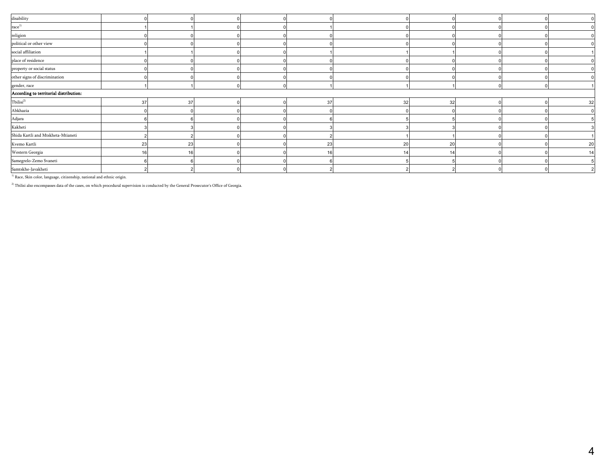| disability                             |    |    |  |    |    |    |  |    |
|----------------------------------------|----|----|--|----|----|----|--|----|
| $\mathop{\mathrm{race}}\nolimits^{1)}$ |    |    |  |    |    |    |  |    |
| religion                               |    |    |  |    |    |    |  |    |
| political or other view                |    |    |  |    |    |    |  |    |
| social affiliation                     |    |    |  |    |    |    |  |    |
| place of residence                     |    |    |  |    |    |    |  |    |
| property or social status              |    |    |  |    |    |    |  |    |
| other signs of discrimination          |    |    |  |    |    |    |  |    |
| gender, race                           |    |    |  |    |    |    |  |    |
| According to territorial distribution: |    |    |  |    |    |    |  |    |
| $\text{Tbilisi}^{2)}$                  | 37 | 37 |  | 37 | 32 | 32 |  | 32 |
| Abkhazia                               |    |    |  |    |    |    |  |    |
| Adjara                                 |    |    |  |    |    |    |  |    |
| Kakheti                                |    |    |  |    |    |    |  |    |
| Shida Kartli and Mtskheta-Mtianeti     |    |    |  |    |    |    |  |    |
| Kvemo Kartli                           | 23 | 23 |  | 23 | 20 | 20 |  | 20 |
| Western Georgia                        |    |    |  | 16 |    |    |  | 14 |
| Samegrelo-Zemo Svaneti                 |    |    |  |    |    |    |  |    |
| Samtskhe-Javakheti                     |    |    |  |    |    |    |  |    |
|                                        |    |    |  |    |    |    |  |    |

 $^{\,1)}$  Race, Skin color, language, citizenship, national and ethnic origin.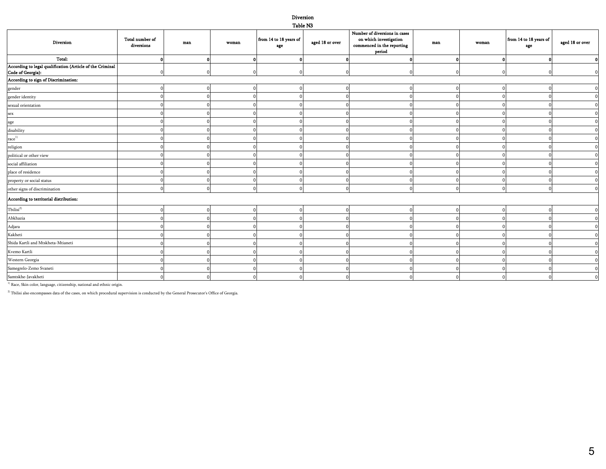#### Diversion Table N3

| Diversion                                                                      | Total number of<br>diversions | $_{\rm man}$ | woman | from 14 to 18 years of<br>age | aged 18 or over | Number of diversions in cases<br>on which investigation<br>$\rm{commenced}$ in the reporting<br>period | man | woman | from 14 to 18 years of<br>age | aged 18 or over |
|--------------------------------------------------------------------------------|-------------------------------|--------------|-------|-------------------------------|-----------------|--------------------------------------------------------------------------------------------------------|-----|-------|-------------------------------|-----------------|
| Total:                                                                         |                               |              |       | $\mathbf{0}$                  |                 | $\mathbf{0}$                                                                                           |     |       |                               |                 |
| According to legal qualification (Article of the Criminal<br>Code of Georgia): |                               |              |       |                               |                 |                                                                                                        |     |       |                               |                 |
| According to sign of Discrimination:                                           |                               |              |       |                               |                 |                                                                                                        |     |       |                               |                 |
| gender                                                                         |                               |              |       | 0                             |                 |                                                                                                        |     |       |                               |                 |
| gender identity                                                                |                               |              |       |                               |                 |                                                                                                        |     |       |                               | $\Omega$        |
| sexual orientation                                                             |                               |              |       | $\Omega$                      |                 |                                                                                                        |     |       |                               |                 |
| sex                                                                            |                               |              |       |                               |                 |                                                                                                        |     |       |                               | $\Omega$        |
|                                                                                |                               |              |       |                               |                 |                                                                                                        |     |       |                               |                 |
| age<br>disability                                                              |                               |              |       |                               |                 |                                                                                                        |     |       |                               |                 |
| $\text{race}^{1)}$                                                             |                               |              |       |                               |                 |                                                                                                        |     |       |                               |                 |
| religion                                                                       |                               |              |       |                               |                 |                                                                                                        |     |       |                               |                 |
| political or other view                                                        |                               |              |       |                               |                 |                                                                                                        |     |       |                               |                 |
| social affiliation                                                             |                               |              |       |                               |                 |                                                                                                        |     |       |                               |                 |
| place of residence                                                             |                               |              |       |                               |                 |                                                                                                        |     |       |                               | O               |
| property or social status                                                      |                               |              |       |                               |                 |                                                                                                        |     |       |                               | $\mathbf 0$     |
| other signs of discrimination                                                  |                               |              |       |                               |                 |                                                                                                        |     |       |                               | $\mathbf 0$     |
| According to territorial distribution:                                         |                               |              |       |                               |                 |                                                                                                        |     |       |                               |                 |
| $\text{Tbilisi}^{2)}$                                                          |                               |              |       |                               |                 |                                                                                                        |     |       |                               | $\mathbf 0$     |
| Abkhazia                                                                       |                               |              |       |                               |                 |                                                                                                        |     |       |                               | $\mathbf 0$     |
| Adjara                                                                         |                               |              |       |                               |                 |                                                                                                        |     |       |                               |                 |
| Kakheti                                                                        |                               |              |       |                               |                 |                                                                                                        |     |       |                               | 0               |
| Shida Kartli and Mtskheta-Mtianeti                                             |                               |              |       |                               |                 |                                                                                                        |     |       |                               |                 |
| Kvemo Kartli                                                                   |                               |              |       |                               |                 |                                                                                                        |     |       |                               |                 |
| Western Georgia                                                                |                               |              |       |                               |                 |                                                                                                        |     |       |                               |                 |
| Samegrelo-Zemo Svaneti                                                         |                               |              |       |                               |                 |                                                                                                        |     |       |                               | $\Omega$        |
| Samtskhe-Javakheti                                                             |                               |              |       |                               |                 |                                                                                                        |     |       |                               | $\Omega$        |

 $^{\rm 1)}$  Race, Skin color, language, citizenship, national and ethnic origin.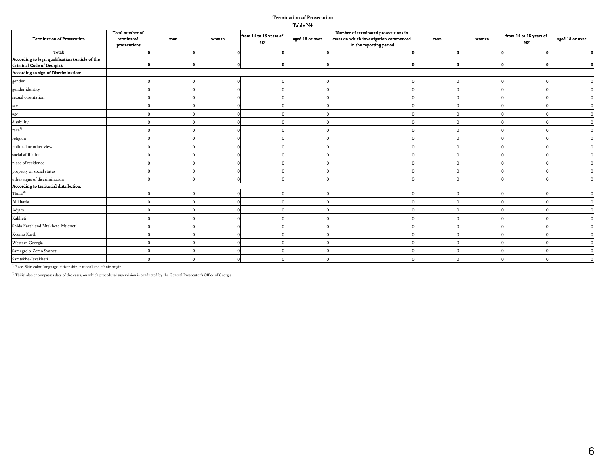#### Termination of Prosecution Table N4

|                                                                                |                                               |              |       |                               | -------         |                                                                                                           |     |       |                               |                 |
|--------------------------------------------------------------------------------|-----------------------------------------------|--------------|-------|-------------------------------|-----------------|-----------------------------------------------------------------------------------------------------------|-----|-------|-------------------------------|-----------------|
| <b>Termination of Prosecution</b>                                              | Total number of<br>terminated<br>prosecutions | $_{\rm man}$ | woman | from 14 to 18 years of<br>age | aged 18 or over | Number of terminated prosecutions in<br>cases on which investigation commenced<br>in the reporting period | man | woman | from 14 to 18 years of<br>age | aged 18 or over |
| Total:                                                                         |                                               |              |       |                               |                 |                                                                                                           |     |       |                               |                 |
| According to legal qualification (Article of the<br>Criminal Code of Georgia): |                                               |              |       |                               |                 |                                                                                                           |     |       |                               |                 |
| According to sign of Discrimination:                                           |                                               |              |       |                               |                 |                                                                                                           |     |       |                               |                 |
| gender                                                                         |                                               |              |       |                               |                 |                                                                                                           |     |       |                               |                 |
| gender identity                                                                |                                               |              |       |                               |                 |                                                                                                           |     |       |                               |                 |
| sexual orientation                                                             |                                               |              |       |                               |                 |                                                                                                           |     |       |                               |                 |
| sex                                                                            |                                               |              |       |                               |                 |                                                                                                           |     |       |                               |                 |
| age                                                                            |                                               |              |       |                               |                 |                                                                                                           |     |       |                               |                 |
| disability                                                                     |                                               |              |       |                               |                 |                                                                                                           |     |       |                               |                 |
| $\mathop{\mathrm{race}}\nolimits^{1)}$                                         |                                               |              |       |                               |                 |                                                                                                           |     |       |                               |                 |
| religion                                                                       |                                               |              |       |                               |                 |                                                                                                           |     |       |                               |                 |
| political or other view                                                        |                                               |              |       |                               |                 |                                                                                                           |     |       |                               |                 |
| social affiliation                                                             |                                               |              |       |                               |                 |                                                                                                           |     |       |                               |                 |
| place of residence                                                             |                                               |              |       |                               |                 |                                                                                                           |     |       |                               |                 |
| property or social status                                                      |                                               |              |       |                               |                 |                                                                                                           |     |       |                               |                 |
| other signs of discrimination                                                  |                                               |              |       |                               |                 |                                                                                                           |     |       |                               |                 |
| According to territorial distribution:                                         |                                               |              |       |                               |                 |                                                                                                           |     |       |                               |                 |
| $\text{Tbilisi}^{2)}$                                                          |                                               |              |       |                               |                 |                                                                                                           |     |       |                               |                 |
| Abkhazia                                                                       |                                               |              |       |                               |                 |                                                                                                           |     |       |                               |                 |
| Adjara                                                                         |                                               |              |       |                               |                 |                                                                                                           |     |       |                               |                 |
| Kakheti                                                                        |                                               |              |       |                               |                 |                                                                                                           |     |       |                               |                 |
| Shida Kartli and Mtskheta-Mtianeti                                             |                                               |              |       |                               |                 |                                                                                                           |     |       |                               |                 |
| Kvemo Kartli                                                                   |                                               |              |       |                               |                 |                                                                                                           |     |       |                               |                 |
| Western Georgia                                                                |                                               |              |       |                               |                 |                                                                                                           |     |       |                               |                 |
| Samegrelo-Zemo Svaneti                                                         |                                               |              |       |                               |                 |                                                                                                           |     |       |                               |                 |
| Samtskhe-Javakheti                                                             |                                               |              |       |                               |                 |                                                                                                           |     |       |                               |                 |

 $^{\rm 1)}$  Race, Skin color, language, citizenship, national and ethnic origin.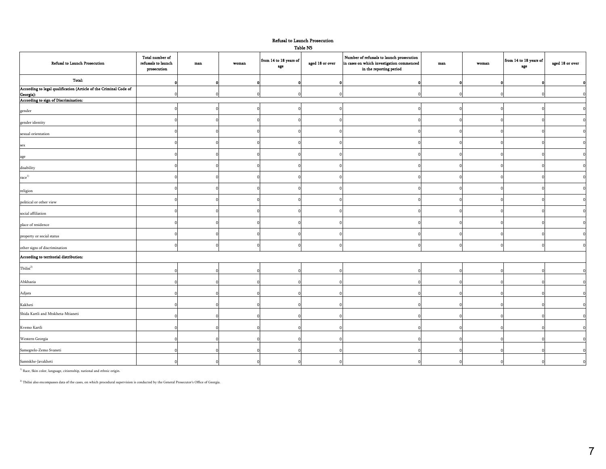#### Refusal to Launch Prosecution

Table N5

| Refusal to Launch Prosecution                                                  | Total number of<br>refusasls to launch<br>prosecution | man | woman    | from 14 to 18 years of<br>age | aged 18 or over | Number of refusasls to launch prosecution<br>in cases on which investigation commenced<br>in the reporting period | max | woman    | from 14 to 18 years of<br>age | aged 18 or over         |
|--------------------------------------------------------------------------------|-------------------------------------------------------|-----|----------|-------------------------------|-----------------|-------------------------------------------------------------------------------------------------------------------|-----|----------|-------------------------------|-------------------------|
| Total:                                                                         |                                                       |     |          |                               |                 |                                                                                                                   |     |          |                               | $\mathbf{0}$            |
| According to legal qualification (Article of the Criminal Code of<br>Georgia): |                                                       |     |          |                               |                 |                                                                                                                   |     |          |                               | $\Omega$                |
| According to sign of Discrimination:                                           |                                                       |     |          |                               |                 |                                                                                                                   |     |          |                               |                         |
| gender                                                                         |                                                       |     |          |                               |                 |                                                                                                                   |     |          |                               | $\mathbf 0$             |
| gender identity                                                                |                                                       |     |          |                               |                 |                                                                                                                   |     |          |                               | $\overline{\mathbf{0}}$ |
| sexual orientation                                                             |                                                       |     |          |                               |                 |                                                                                                                   |     |          |                               | $\overline{\mathbf{0}}$ |
| sex                                                                            |                                                       |     |          |                               |                 |                                                                                                                   |     |          |                               | $\Omega$                |
| age                                                                            |                                                       |     |          |                               |                 |                                                                                                                   |     |          |                               | $\mathbf 0$             |
| disability                                                                     |                                                       |     |          |                               |                 |                                                                                                                   |     |          |                               | $\Omega$                |
| $\mathop{\rm race}\nolimits^{1)}$                                              |                                                       |     |          |                               |                 |                                                                                                                   |     |          |                               | $\overline{0}$          |
| religion                                                                       |                                                       |     |          |                               |                 |                                                                                                                   |     |          |                               | $\overline{0}$          |
| political or other view                                                        |                                                       |     |          |                               |                 |                                                                                                                   |     |          |                               | $\overline{0}$          |
| social affiliation                                                             |                                                       |     |          |                               |                 |                                                                                                                   |     |          |                               | $\overline{0}$          |
| place of residence                                                             |                                                       |     |          |                               |                 |                                                                                                                   |     |          |                               | $\overline{0}$          |
| property or social status                                                      |                                                       |     |          |                               |                 |                                                                                                                   |     |          |                               | $\overline{0}$          |
| other signs of discrimination                                                  | $\Omega$                                              |     |          |                               |                 |                                                                                                                   |     |          |                               | $\overline{\mathbf{0}}$ |
| According to territorial distribution:                                         |                                                       |     |          |                               |                 |                                                                                                                   |     |          |                               |                         |
| ${\rm Tbilisi}^{2)}$                                                           | $\Omega$                                              |     |          |                               |                 |                                                                                                                   |     |          |                               | $\overline{0}$          |
| Abkhazia                                                                       |                                                       |     |          |                               |                 |                                                                                                                   |     |          |                               | $\Omega$                |
| Adjara                                                                         |                                                       |     |          |                               |                 |                                                                                                                   |     |          |                               | $\Omega$                |
| Kakheti                                                                        |                                                       |     |          |                               |                 |                                                                                                                   |     |          |                               | $\Omega$                |
| Shida Kartli and Mtskheta-Mtianeti                                             |                                                       |     |          |                               |                 |                                                                                                                   |     |          |                               | $\Omega$                |
| Kvemo Kartli                                                                   |                                                       |     |          |                               |                 |                                                                                                                   |     |          |                               | $\Omega$                |
| Western Georgia                                                                |                                                       |     |          |                               |                 |                                                                                                                   |     |          |                               | $\Omega$                |
| Samegrelo-Zemo Svaneti                                                         |                                                       |     |          |                               |                 |                                                                                                                   |     |          |                               | $\Omega$                |
| Samtskhe-Javakheti                                                             | $\Omega$                                              |     | $\Omega$ |                               | U               |                                                                                                                   | £   | $\Omega$ | $\Omega$                      |                         |

 $^{\rm 1)}$  Race, Skin color, language, citizenship, national and ethnic origin.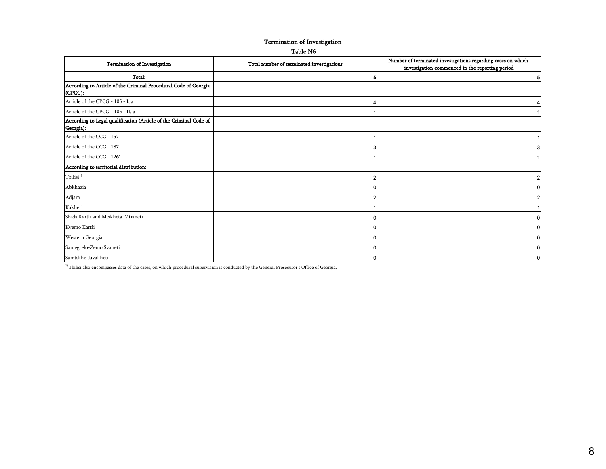#### Termination of Investigation

#### Table N6

| <b>Termination of Investigation</b>                                            | Total number of terminated investigations | Number of terminated investigations regarding cases on which<br>investigation commenced in the reporting period |
|--------------------------------------------------------------------------------|-------------------------------------------|-----------------------------------------------------------------------------------------------------------------|
| Total:                                                                         |                                           | 5                                                                                                               |
| According to Article of the Criminal Procedural Code of Georgia<br>(CPCG):     |                                           |                                                                                                                 |
| Article of the CPCG - 105 - I, a                                               |                                           |                                                                                                                 |
| Article of the CPCG - 105 - II, a                                              |                                           |                                                                                                                 |
| According to Legal qualification (Article of the Criminal Code of<br>Georgia): |                                           |                                                                                                                 |
| Article of the CCG - 157                                                       |                                           |                                                                                                                 |
| Article of the CCG - 187                                                       |                                           | 3                                                                                                               |
| Article of the CCG - 126'                                                      |                                           | $\mathbf{1}$                                                                                                    |
| According to territorial distribution:                                         |                                           |                                                                                                                 |
| Tbilisi <sup>1</sup>                                                           |                                           | $\overline{2}$                                                                                                  |
| Abkhazia                                                                       |                                           | $\overline{0}$                                                                                                  |
| Adjara                                                                         |                                           | $\overline{2}$                                                                                                  |
| Kakheti                                                                        |                                           | $\overline{1}$                                                                                                  |
| Shida Kartli and Mtskheta-Mtianeti                                             |                                           | $\overline{0}$                                                                                                  |
| Kvemo Kartli                                                                   |                                           | $\overline{0}$                                                                                                  |
| Western Georgia                                                                |                                           | $\overline{0}$                                                                                                  |
| Samegrelo-Zemo Svaneti                                                         |                                           | $\mathbf 0$                                                                                                     |
| Samtskhe-Javakheti                                                             |                                           | $\overline{0}$                                                                                                  |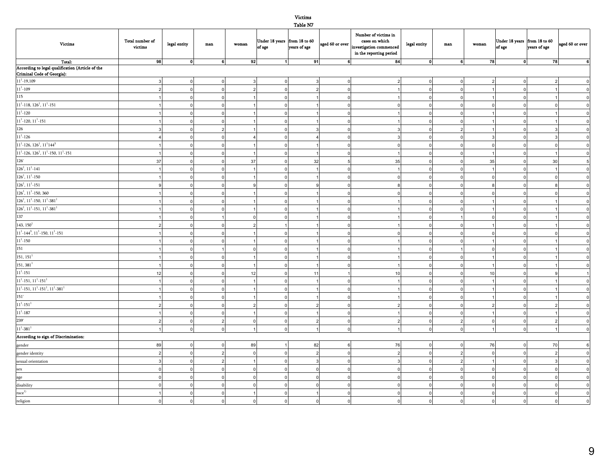Table N7

|                                                                                                                              |                 |                |              |                  |              | $-0.0000 - 0.000$ |          |                                                                                                                                         |              |                |                |                                        |                |                          |
|------------------------------------------------------------------------------------------------------------------------------|-----------------|----------------|--------------|------------------|--------------|-------------------|----------|-----------------------------------------------------------------------------------------------------------------------------------------|--------------|----------------|----------------|----------------------------------------|----------------|--------------------------|
| <b>Victims</b>                                                                                                               | Total number of | legal entity   | $_{\rm man}$ | $\mathbf{woman}$ |              |                   |          | Number of victims in<br>Under 18 years from 18 to 60 aged 60 or over investigation commenced<br>aged 60 or over investigation commenced | legal entity | $_{\rm man}$   | woman          | Under 18 years from 18 to 60<br>of age | years of age   | aged 60 or over          |
|                                                                                                                              | victims         |                |              |                  |              |                   |          | in the reporting period                                                                                                                 |              |                |                |                                        |                |                          |
| Total:                                                                                                                       | 98              | $\mathbf{0}$   | 6            | 92               | $\mathbf{1}$ | 91                | 6        | 84                                                                                                                                      | $\mathbf{0}$ | 6              | 78             | $\mathbf{0}$                           | 78             | $\overline{\phantom{a}}$ |
| According to legal qualification (Article of the<br>Criminal Code of Georgia):                                               |                 |                |              |                  |              |                   |          |                                                                                                                                         |              |                |                |                                        |                |                          |
| $11^1 - 19,109$                                                                                                              |                 | $\mathsf{C}$   |              |                  |              |                   |          |                                                                                                                                         |              | $\overline{0}$ | $\overline{2}$ | $\Omega$                               | $\overline{a}$ | $\mathbf 0$              |
| $11^{\rm 1}$ -109                                                                                                            | $\mathcal{P}$   | $\Omega$       |              |                  | $\Omega$     |                   | $\Omega$ |                                                                                                                                         |              | $\mathbf 0$    |                | $\Omega$                               |                | $\overline{0}$           |
| 115                                                                                                                          |                 | $\Omega$       |              |                  |              |                   |          |                                                                                                                                         |              | $\overline{0}$ |                | $\Omega$                               |                | $\overline{0}$           |
| $11^{1}\text{-}118,\,126^{1},\,11^{1}\text{-}151$                                                                            |                 | $\mathsf{C}$   |              |                  | $\Omega$     |                   |          | $\Omega$                                                                                                                                |              | $\mathbf 0$    | $\Omega$       | $\mathbf 0$                            | $\Omega$       | $\overline{0}$           |
| $11^{\rm 1}\text{-}120$                                                                                                      |                 |                |              |                  |              |                   |          |                                                                                                                                         |              | $\mathsf{o}$   |                | $\Omega$                               |                | $\overline{0}$           |
| $11^1$ -120, $11^1$ -151                                                                                                     |                 |                |              |                  |              |                   |          |                                                                                                                                         |              | $\mathbf 0$    |                | $\Omega$                               |                | $\overline{\mathbf{0}}$  |
| 126                                                                                                                          |                 |                |              |                  |              |                   |          |                                                                                                                                         |              | $\overline{2}$ |                | $\Omega$                               |                | $\overline{0}$           |
| $11^1 - 126$                                                                                                                 |                 |                |              |                  |              |                   |          |                                                                                                                                         |              | $\overline{0}$ |                |                                        | 3              | $\overline{0}$           |
| $11^1$ -126, 126 <sup>1</sup> , 11 <sup>1</sup> 144 <sup>3</sup>                                                             |                 |                |              |                  |              |                   |          | 0                                                                                                                                       |              | $\overline{0}$ | $\Omega$       | $\Omega$                               | $\mathbf 0$    | $\overline{0}$           |
| $111$ -126, 126 <sup>1</sup> , 11 <sup>1</sup> -150, 11 <sup>1</sup> -151                                                    |                 |                |              |                  |              |                   |          |                                                                                                                                         |              | $\mathbf 0$    |                | $\Omega$                               | $\mathbf{1}$   | $\overline{0}$           |
| 126'                                                                                                                         | 37              |                |              | 37               |              | 32                |          | 35                                                                                                                                      |              | $\mathsf{o}$   | 35             | $\Omega$                               | 30             | $\overline{\phantom{a}}$ |
| $126^{\rm l},\,11^{\rm l}{\text -}141$                                                                                       |                 |                |              |                  |              |                   |          |                                                                                                                                         |              | $\mathbf 0$    |                | $\sqrt{ }$                             |                | $\overline{0}$           |
| $126^{\rm l}, 11^{\rm l}$ -150                                                                                               |                 |                |              |                  |              |                   |          |                                                                                                                                         |              | $\mathbf 0$    | $\Omega$       |                                        | $\Omega$       | $\overline{0}$           |
| $126^{\rm l}, 11^{\rm l}$ -151                                                                                               |                 |                |              |                  |              |                   |          |                                                                                                                                         |              | $\mathbf 0$    | $\mathbf{a}$   |                                        | $\mathbf{R}$   | $\overline{\mathbf{0}}$  |
| $126^{\rm l},\,11^{\rm l}$ -150, 360                                                                                         |                 |                |              |                  |              |                   |          |                                                                                                                                         |              | $\mathbf 0$    |                |                                        |                | $\overline{0}$           |
| $126^1$ , $11^1$ -150, $11^1$ -381 <sup>1</sup>                                                                              |                 |                |              |                  |              |                   |          |                                                                                                                                         |              | $\mathbf 0$    |                | $\Omega$                               |                | $\overline{0}$           |
| $126^1$ , $11^1$ -151, $11^1$ -381 <sup>1</sup>                                                                              |                 |                |              |                  |              |                   |          |                                                                                                                                         |              | $\mathbf 0$    |                | $\Omega$                               |                | $\overline{\mathbf{0}}$  |
| 137                                                                                                                          |                 |                |              |                  |              |                   |          |                                                                                                                                         |              |                |                |                                        |                | $\overline{0}$           |
| 143, $150^1$                                                                                                                 |                 |                |              |                  |              |                   |          |                                                                                                                                         |              | $\mathbf 0$    |                |                                        |                | $\overline{0}$           |
| $\mathbf{11}^{1}\text{-} \mathbf{144}^{3}, \, \mathbf{11}^{1}\text{-} \mathbf{150}, \, \mathbf{11}^{1}\text{-} \mathbf{151}$ |                 |                |              |                  |              |                   |          |                                                                                                                                         |              | $\overline{0}$ |                |                                        |                | $\overline{0}$           |
| $11^1 - 150$                                                                                                                 |                 |                |              |                  |              |                   |          |                                                                                                                                         |              | $\overline{0}$ |                | $\sqrt{2}$                             |                | $\overline{0}$           |
| 151                                                                                                                          |                 |                |              |                  |              |                   |          |                                                                                                                                         |              |                | $\Omega$       | $\Omega$                               |                | $\overline{0}$           |
| 151, 151 <sup>1</sup>                                                                                                        |                 | $\sqrt{ }$     |              |                  |              |                   |          |                                                                                                                                         |              | $\mathbf 0$    |                | $\Omega$                               |                | $\overline{\mathbf{0}}$  |
| $\mathbf{151}, \mathbf{381}^\mathbf{1}$                                                                                      |                 |                |              |                  |              |                   |          |                                                                                                                                         |              | $\mathbf 0$    |                | $\Omega$                               |                | $\overline{\mathbf{0}}$  |
| $11^1 - 151$                                                                                                                 | 12              | $\mathsf{C}$   |              | 12               |              | 11                |          | 10                                                                                                                                      |              | $\mathsf{o}$   | 10             | $\Omega$                               |                | $\overline{1}$           |
| $11^1$ -151, $11^1$ -151 <sup>1</sup>                                                                                        | $\overline{1}$  | $\mathsf{C}$   |              |                  |              |                   |          |                                                                                                                                         |              | $\circ$        |                | $\Omega$                               |                | $\overline{0}$           |
| $11^1$ -151, $11^1$ -151 <sup>1</sup> , $11^1$ -381 <sup>1</sup>                                                             |                 |                |              |                  |              |                   |          |                                                                                                                                         |              | $\overline{0}$ |                |                                        |                | $\overline{0}$           |
| 151'                                                                                                                         |                 | $\mathsf{C}$   |              |                  |              |                   |          |                                                                                                                                         |              | $\mathbf 0$    |                | $\Omega$                               |                | $\overline{0}$           |
| $\mathbf{11}^{1}\text{-}\mathbf{151}^{1}$                                                                                    |                 | $\Omega$       |              |                  | $\Omega$     |                   |          |                                                                                                                                         |              | $\mathbf 0$    | $\mathfrak{p}$ | $\Omega$                               | $\mathfrak{p}$ | $\overline{\mathbf{0}}$  |
| $11^1 - 187$                                                                                                                 |                 | $\mathsf{C}$   |              |                  |              |                   |          |                                                                                                                                         |              | $\mathsf{o}$   |                | $\Omega$                               |                | $\overline{0}$           |
| 239'                                                                                                                         | $\overline{2}$  | $\overline{0}$ |              |                  | $\mathbf{0}$ |                   | $\Omega$ |                                                                                                                                         |              | $\overline{c}$ | $\circ$        | $\mathbf 0$                            | $\overline{2}$ | $\mathfrak o$            |
| $\mathbf{11}^{1}\text{-381}^{1}$                                                                                             |                 | $\Omega$       |              |                  |              |                   |          |                                                                                                                                         |              | $\mathsf{o}$   | $\overline{1}$ | $\Omega$                               | $\mathbf{1}$   | $\overline{0}$           |
| According to sign of Discrimination:                                                                                         |                 |                |              |                  |              |                   |          |                                                                                                                                         |              |                |                |                                        |                |                          |
| gender                                                                                                                       | 89              | $\Omega$       |              | 89               |              | 82                |          | 76                                                                                                                                      | U            | $\overline{0}$ | 76             | $\Omega$                               | 70             | $\,6\,$                  |
| gender identity                                                                                                              | $\overline{2}$  | $\Omega$       |              |                  |              |                   |          |                                                                                                                                         | $\Omega$     | $\overline{c}$ | $\overline{0}$ | $\Omega$                               | $\overline{2}$ | $\overline{0}$           |
| sexual orientation                                                                                                           | 3               | ſ              |              |                  |              |                   |          |                                                                                                                                         |              | $\overline{2}$ |                | $\Omega$                               | $\mathbf{3}$   | $\mathfrak o$            |
| sex                                                                                                                          | $\Omega$        | $\mathsf{C}$   |              |                  |              |                   |          |                                                                                                                                         |              | $\mathbf 0$    | $\Omega$       | $\Omega$                               | $\mathbf 0$    | $\overline{0}$           |
| age                                                                                                                          | $\overline{0}$  | $\mathsf{C}$   |              |                  |              |                   |          |                                                                                                                                         |              | $\mathbf 0$    | $\Omega$       | $\Omega$                               | $\mathbf 0$    | $\overline{0}$           |
| disability                                                                                                                   | $\Omega$        | r              |              |                  |              |                   |          |                                                                                                                                         |              | $\overline{0}$ | $\Omega$       | $\sqrt{ }$                             | $\Omega$       | $\overline{0}$           |
| $\mathop{\rm race}\nolimits^{1)}$                                                                                            |                 | $\mathsf{C}$   |              |                  |              |                   |          |                                                                                                                                         |              | $\mathbf 0$    | $\Omega$       | $\Omega$                               | $\Omega$       | $\pmb{0}$                |
| $religion$                                                                                                                   | $\Omega$        |                |              |                  |              |                   |          |                                                                                                                                         |              | $\overline{0}$ | $\Omega$       |                                        | $\overline{0}$ | $\overline{0}$           |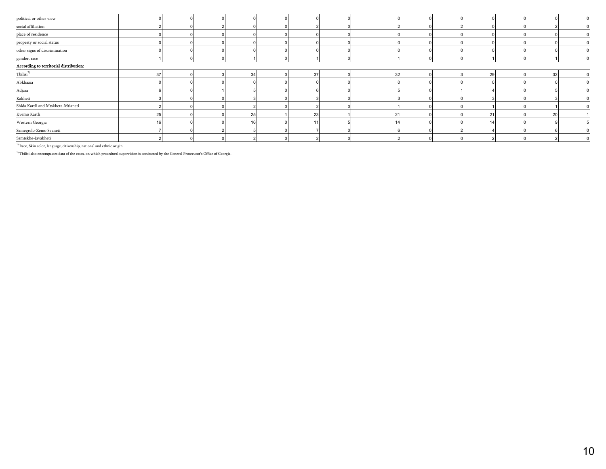|    |          |    |    |    |  |    |    | $\Omega$ |
|----|----------|----|----|----|--|----|----|----------|
|    |          |    |    |    |  |    |    |          |
|    |          |    |    |    |  |    |    |          |
|    |          |    |    |    |  |    |    |          |
|    |          |    |    |    |  |    |    |          |
|    |          |    |    |    |  |    |    |          |
|    |          |    |    |    |  |    |    |          |
| 37 |          | 34 | 37 | 32 |  | 29 | 32 |          |
|    |          |    |    |    |  |    |    |          |
|    |          |    |    |    |  |    |    |          |
|    |          |    |    |    |  |    |    |          |
|    |          |    |    |    |  |    |    |          |
|    |          | 25 | 23 | 21 |  | 21 | 20 |          |
|    |          |    |    |    |  |    |    |          |
|    |          |    |    |    |  |    |    |          |
|    |          |    |    |    |  |    |    | $\Omega$ |
|    | 25<br>16 |    |    |    |  |    |    |          |

 $^{\,1)}$  Race, Skin color, language, citizenship, national and ethnic origin.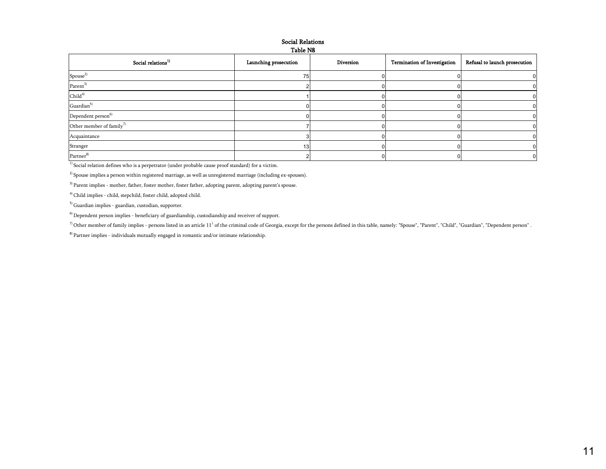#### Social Relations Table N8

| Social relations <sup>1)</sup>       | Launching prosecution | Diversion | <b>Termination of Investigation</b> | Refusal to launch prosecution |
|--------------------------------------|-----------------------|-----------|-------------------------------------|-------------------------------|
| Spouse <sup>2)</sup>                 | 75                    |           |                                     |                               |
| $\mathrm{Parent}^{3)}$               |                       |           |                                     |                               |
| Child <sup>4</sup>                   |                       |           |                                     |                               |
| Guardian $5)$                        |                       |           |                                     |                               |
| Dependent person <sup>6)</sup>       |                       |           |                                     |                               |
| Other member of family <sup>7)</sup> |                       |           |                                     |                               |
| Acquaintance                         |                       |           |                                     |                               |
| Stranger                             | 13                    |           |                                     |                               |
| Partner <sup>8)</sup>                |                       |           |                                     |                               |

<sup>1)</sup> Social relation defines who is a perpetrator (under probable cause proof standard) for a victim.

 $2)$  Spouse implies a person within registered marriage, as well as unregistered marriage (including ex-spouses).

<sup>3)</sup> Parent implies - mother, father, foster mother, foster father, adopting parent, adopting parent's spouse.

4) Child implies - child, stepchild, foster child, adopted child.

5) Guardian implies - guardian, custodian, supporter.

 $<sup>6)</sup>$  Dependent person implies - beneficiary of guardianship, custodianship and receiver of support.</sup>

 $^{7)}$  Other member of family implies - persons listed in an article  $11^1$  of the criminal code of Georgia, except for the persons defined in this table, namely: "Spouse", "Parent", "Child", "Guardian", "Dependent person"

8) Partner implies - individuals mutually engaged in romantic and/or intimate relationship.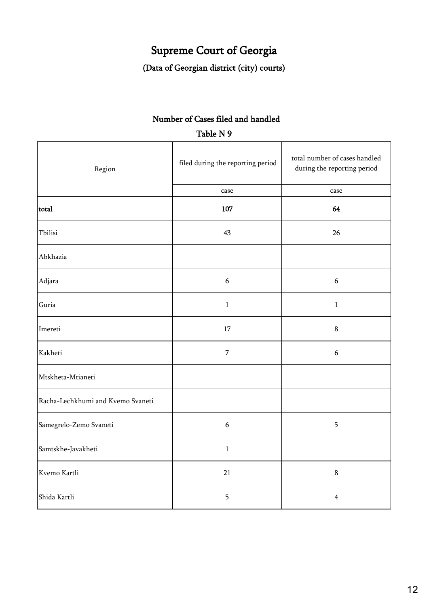## Supreme Court of Georgia

(Data of Georgian district (city) courts)

### Number of Cases filed and handled Table N 9

| Region                            | filed during the reporting period | total number of cases handled<br>during the reporting period |
|-----------------------------------|-----------------------------------|--------------------------------------------------------------|
|                                   | case                              | case                                                         |
| total                             | 107                               | 64                                                           |
| Tbilisi                           | 43                                | 26                                                           |
| Abkhazia                          |                                   |                                                              |
| Adjara                            | $\boldsymbol{6}$                  | $\boldsymbol{6}$                                             |
| Guria                             | $\mathbf{1}$                      | $\mathbf{1}$                                                 |
| Imereti                           | 17                                | $\bf 8$                                                      |
| Kakheti                           | $\overline{7}$                    | $\boldsymbol{6}$                                             |
| Mtskheta-Mtianeti                 |                                   |                                                              |
| Racha-Lechkhumi and Kvemo Svaneti |                                   |                                                              |
| Samegrelo-Zemo Svaneti            | $\sqrt{6}$                        | 5                                                            |
| Samtskhe-Javakheti                | $\,1\,$                           |                                                              |
| Kvemo Kartli                      | 21                                | $\bf 8$                                                      |
| Shida Kartli                      | 5                                 | $\overline{4}$                                               |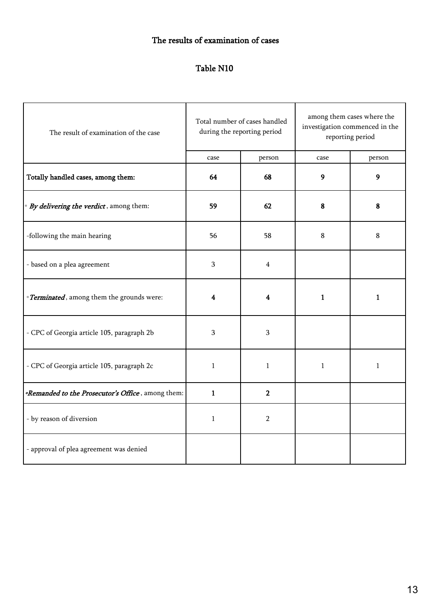### The results of examination of cases

#### Table N10

| The result of examination of the case                           |              | Total number of cases handled<br>during the reporting period | among them cases where the<br>investigation commenced in the<br>reporting period |              |  |  |
|-----------------------------------------------------------------|--------------|--------------------------------------------------------------|----------------------------------------------------------------------------------|--------------|--|--|
|                                                                 | case         | person                                                       | case                                                                             | person       |  |  |
| Totally handled cases, among them:                              | 64           | 68                                                           | 9                                                                                | 9            |  |  |
| · By delivering the verdict, among them:                        | 59           | 62                                                           | 8                                                                                | 8            |  |  |
| -following the main hearing                                     | 56           | 58                                                           | 8                                                                                | 8            |  |  |
| - based on a plea agreement                                     | 3            | 4                                                            |                                                                                  |              |  |  |
| · Terminated, among them the grounds were:                      | 4            | 4                                                            | $\mathbf{1}$                                                                     | $\mathbf{1}$ |  |  |
| - CPC of Georgia article 105, paragraph 2b                      | 3            | 3                                                            |                                                                                  |              |  |  |
| - CPC of Georgia article 105, paragraph 2c                      | 1            | $\mathbf{1}$                                                 | $\mathbf{1}$                                                                     | $\mathbf{1}$ |  |  |
| <i><b>Remanded to the Prosecutor's Office</b></i> , among them: | $\mathbf{1}$ | $\mathbf{2}$                                                 |                                                                                  |              |  |  |
| - by reason of diversion                                        | 1            | $\overline{2}$                                               |                                                                                  |              |  |  |
| - approval of plea agreement was denied                         |              |                                                              |                                                                                  |              |  |  |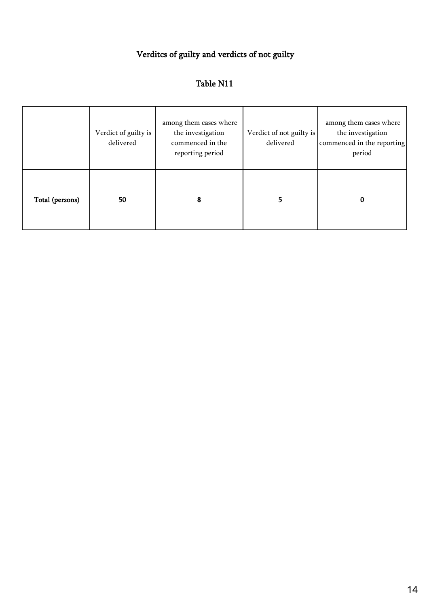## Verditcs of guilty and verdicts of not guilty

### Table N11

|                 | Verdict of guilty is<br>delivered | among them cases where<br>the investigation<br>commenced in the<br>reporting period | Verdict of not guilty is<br>delivered | among them cases where<br>the investigation<br>commenced in the reporting<br>period |
|-----------------|-----------------------------------|-------------------------------------------------------------------------------------|---------------------------------------|-------------------------------------------------------------------------------------|
| Total (persons) | 50                                | 8                                                                                   |                                       | 0                                                                                   |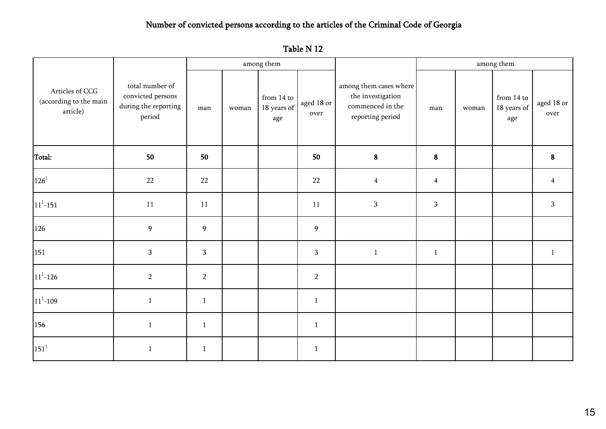### Number of convicted persons according to the articles of the Criminal Code of Georgia

| Table N 12 |  |
|------------|--|
|------------|--|

|                                                       |                                                                        |                |       | among them                       |                    |                                                                                     | among them     |             |                                  |                    |  |  |
|-------------------------------------------------------|------------------------------------------------------------------------|----------------|-------|----------------------------------|--------------------|-------------------------------------------------------------------------------------|----------------|-------------|----------------------------------|--------------------|--|--|
| Articles of CCG<br>(according to the main<br>article) | total number of<br>convicted persons<br>during the reporting<br>period | man            | woman | from 14 to<br>18 years of<br>age | aged 18 or<br>over | among them cases where<br>the investigation<br>commenced in the<br>reporting period | man            | $\rm woman$ | from 14 to<br>18 years of<br>age | aged 18 or<br>over |  |  |
| Total:                                                | 50                                                                     | 50             |       |                                  | 50                 | ${\bf 8}$                                                                           | ${\bf 8}$      |             |                                  | 8                  |  |  |
| $126^{\rm{1}}$                                        | 22                                                                     | 22             |       |                                  | 22                 | $\overline{4}$                                                                      | $\overline{4}$ |             |                                  | $\overline{4}$     |  |  |
| $11^1 - 151$                                          | 11                                                                     | 11             |       |                                  | 11                 | $\mathbf{3}$                                                                        | $\mathbf{3}$   |             |                                  | 3                  |  |  |
| 126                                                   | $\boldsymbol{9}$                                                       | $\overline{9}$ |       |                                  | $\boldsymbol{9}$   |                                                                                     |                |             |                                  |                    |  |  |
| 151                                                   | $\mathbf{3}$                                                           | $\mathbf{3}$   |       |                                  | $\mathbf{3}$       | $\mathbf{1}$                                                                        | $\mathbf{1}$   |             |                                  | $\mathbf{1}$       |  |  |
| $11^1 - 126$                                          | $\overline{2}$                                                         | $\overline{2}$ |       |                                  | $\sqrt{2}$         |                                                                                     |                |             |                                  |                    |  |  |
| $11^1 - 109$                                          | $1\,$                                                                  | $\mathbf{1}$   |       |                                  | $\mathbf{1}$       |                                                                                     |                |             |                                  |                    |  |  |
| 156                                                   | $\,1\,$                                                                | $1\,$          |       |                                  | $\mathbf 1$        |                                                                                     |                |             |                                  |                    |  |  |
| $151^1$                                               | $\mathbf{1}$                                                           | $\mathbf{1}$   |       |                                  | $\mathbf{1}$       |                                                                                     |                |             |                                  |                    |  |  |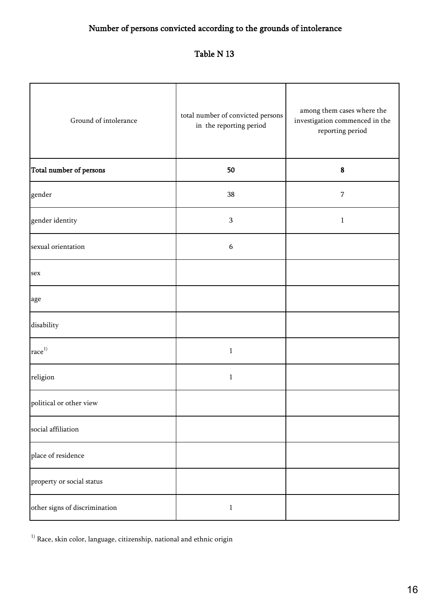### Number of persons convicted according to the grounds of intolerance

### Table N 13

| Ground of intolerance             | total number of convicted persons<br>in the reporting period | among them cases where the<br>investigation commenced in the<br>reporting period |  |  |  |  |
|-----------------------------------|--------------------------------------------------------------|----------------------------------------------------------------------------------|--|--|--|--|
| Total number of persons           | 50                                                           | ${\bf 8}$                                                                        |  |  |  |  |
| gender                            | 38                                                           | $\overline{7}$                                                                   |  |  |  |  |
| gender identity                   | $\mathbf{3}$                                                 | $\mathbf{1}$                                                                     |  |  |  |  |
| sexual orientation                | $\boldsymbol{6}$                                             |                                                                                  |  |  |  |  |
| sex                               |                                                              |                                                                                  |  |  |  |  |
| age                               |                                                              |                                                                                  |  |  |  |  |
| disability                        |                                                              |                                                                                  |  |  |  |  |
| $\mathop{\rm race}\nolimits^{1)}$ | $\mathbf 1$                                                  |                                                                                  |  |  |  |  |
| religion                          | $\mathbf{1}$                                                 |                                                                                  |  |  |  |  |
| political or other view           |                                                              |                                                                                  |  |  |  |  |
| social affiliation                |                                                              |                                                                                  |  |  |  |  |
| place of residence                |                                                              |                                                                                  |  |  |  |  |
| property or social status         |                                                              |                                                                                  |  |  |  |  |
| other signs of discrimination     | $\,1\,$                                                      |                                                                                  |  |  |  |  |

 $^{\rm 1)}$  Race, skin color, language, citizenship, national and ethnic origin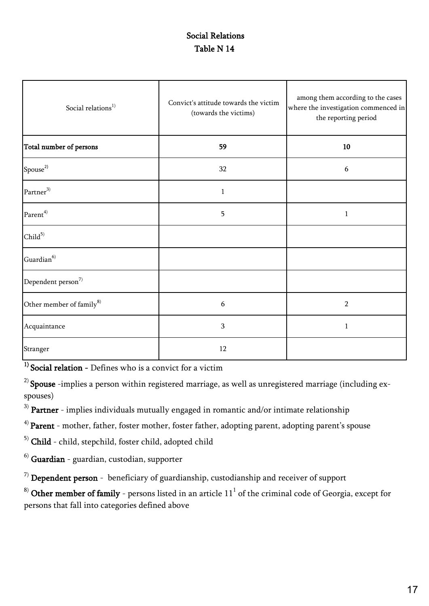#### Social Relations Table N 14

| Social relations <sup>1)</sup>       | Convict's attitude towards the victim<br>(towards the victims) | among them according to the cases<br>where the investigation commenced in<br>the reporting period |
|--------------------------------------|----------------------------------------------------------------|---------------------------------------------------------------------------------------------------|
| Total number of persons              | 59                                                             | 10                                                                                                |
| Spouse <sup>2)</sup>                 | 32                                                             | 6                                                                                                 |
| Partner <sup>3)</sup>                | $\mathbf{1}$                                                   |                                                                                                   |
| Parent <sup>4)</sup>                 | 5                                                              | $\mathbf{1}$                                                                                      |
| Child <sup>5</sup>                   |                                                                |                                                                                                   |
| Guardian <sup>6)</sup>               |                                                                |                                                                                                   |
| Dependent person <sup>7)</sup>       |                                                                |                                                                                                   |
| Other member of family <sup>8)</sup> | 6                                                              | $\overline{2}$                                                                                    |
| Acquaintance                         | 3                                                              | $\mathbf{1}$                                                                                      |
| Stranger                             | 12                                                             |                                                                                                   |

 $1)$  Social relation - Defines who is a convict for a victim

 $2)$  Spouse -implies a person within registered marriage, as well as unregistered marriage (including exspouses)

 $^{\rm 3)}$  Partner - implies individuals mutually engaged in romantic and/or intimate relationship

 $^{4)}$  Parent - mother, father, foster mother, foster father, adopting parent, adopting parent's spouse

5) Child - child, stepchild, foster child, adopted child

 $<sup>6)</sup>$  Guardian - guardian, custodian, supporter</sup>

 $<sup>7</sup>$  Dependent person - beneficiary of guardianship, custodianship and receiver of support</sup>

 $^{8)}$  Other member of family - persons listed in an article  $11^1$  of the criminal code of Georgia, except for persons that fall into categories defined above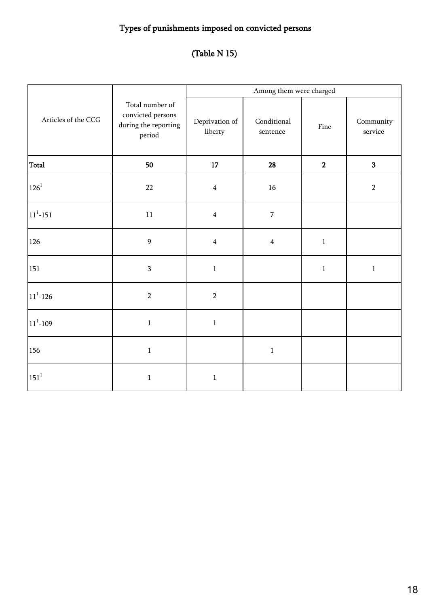## Types of punishments imposed on convicted persons

## (Table N 15)

|                          |                                                                        |                                   | Among them were charged |              |                               |
|--------------------------|------------------------------------------------------------------------|-----------------------------------|-------------------------|--------------|-------------------------------|
| Articles of the CCG      | Total number of<br>convicted persons<br>during the reporting<br>period | Deprivation of<br>${\rm liberty}$ | Conditional<br>sentence | Fine         | Community<br>$\mbox{service}$ |
| Total                    | 50                                                                     | 17                                | 28                      | $\mathbf{2}$ | $\overline{\mathbf{3}}$       |
| $126^{1}$                | 22                                                                     | $\overline{4}$                    | 16                      |              | $\sqrt{2}$                    |
| $\mathbf{11^{^{1}-}151}$ | $11\,$                                                                 | $\overline{4}$                    | $\sqrt{7}$              |              |                               |
| 126                      | 9                                                                      | $\overline{4}$                    | $\overline{4}$          | $\,1\,$      |                               |
| 151                      | 3                                                                      | $1\,$                             |                         | $\mathbf 1$  | $1\,$                         |
| $11^1 - 126$             | $\sqrt{2}$                                                             | $\overline{2}$                    |                         |              |                               |
| $11^{\rm 1}\text{--}109$ | $\mathbf 1$                                                            | $\,1\,$                           |                         |              |                               |
| 156                      | $\,1$                                                                  |                                   | $\,1\,$                 |              |                               |
| $151^1$                  | $\,1$                                                                  | $\,1\,$                           |                         |              |                               |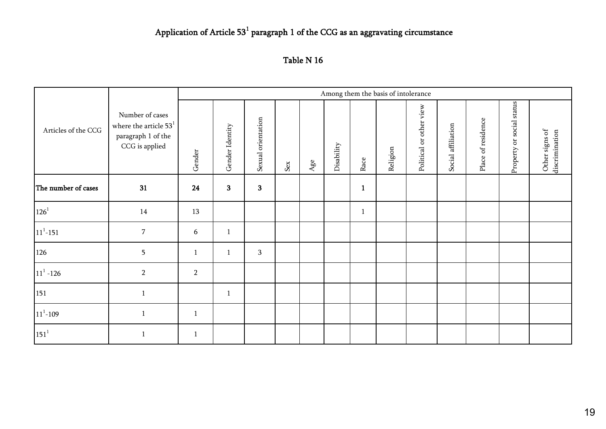#### Application of Article  $53<sup>1</sup>$  paragraph 1 of the CCG as an aggravating circumstance

| Table N 16 |  |
|------------|--|
|------------|--|

|                     |                                                                                                      |                | Among them the basis of intolerance |                    |     |     |            |              |          |                         |                    |                    |                           |                                  |
|---------------------|------------------------------------------------------------------------------------------------------|----------------|-------------------------------------|--------------------|-----|-----|------------|--------------|----------|-------------------------|--------------------|--------------------|---------------------------|----------------------------------|
| Articles of the CCG | Number of cases<br>where the article $531$<br>paragraph 1 of the<br>$\mathsf{CCG}\xspace$ is applied | Gender         | Gender Identity                     | Sexual orientation | Sex | Age | Disability | Race         | Religion | Political or other view | Social affiliation | Place of residence | Property or social status | Other signs of<br>discrimination |
| The number of cases | 31                                                                                                   | 24             | $\overline{\mathbf{3}}$             | $\mathbf{3}$       |     |     |            | $\mathbf{1}$ |          |                         |                    |                    |                           |                                  |
| $126^{1}$           | 14                                                                                                   | 13             |                                     |                    |     |     |            | $\mathbf{1}$ |          |                         |                    |                    |                           |                                  |
| $11^1 - 151$        | $\overline{7}$                                                                                       | 6              | $\mathbf{1}$                        |                    |     |     |            |              |          |                         |                    |                    |                           |                                  |
| 126                 | $\overline{5}$                                                                                       | $1\,$          | $\mathbf{1}$                        | $\sqrt{3}$         |     |     |            |              |          |                         |                    |                    |                           |                                  |
| $11^1 - 126$        | $\overline{2}$                                                                                       | $\overline{2}$ |                                     |                    |     |     |            |              |          |                         |                    |                    |                           |                                  |
| 151                 | $\mathbf{1}$                                                                                         |                | $\mathbf{1}$                        |                    |     |     |            |              |          |                         |                    |                    |                           |                                  |
| $11^1 - 109$        | $\mathbf{1}$                                                                                         | $\mathbf{1}$   |                                     |                    |     |     |            |              |          |                         |                    |                    |                           |                                  |
| $151^1$             | $\mathbf{1}$                                                                                         | $\mathbf{1}$   |                                     |                    |     |     |            |              |          |                         |                    |                    |                           |                                  |